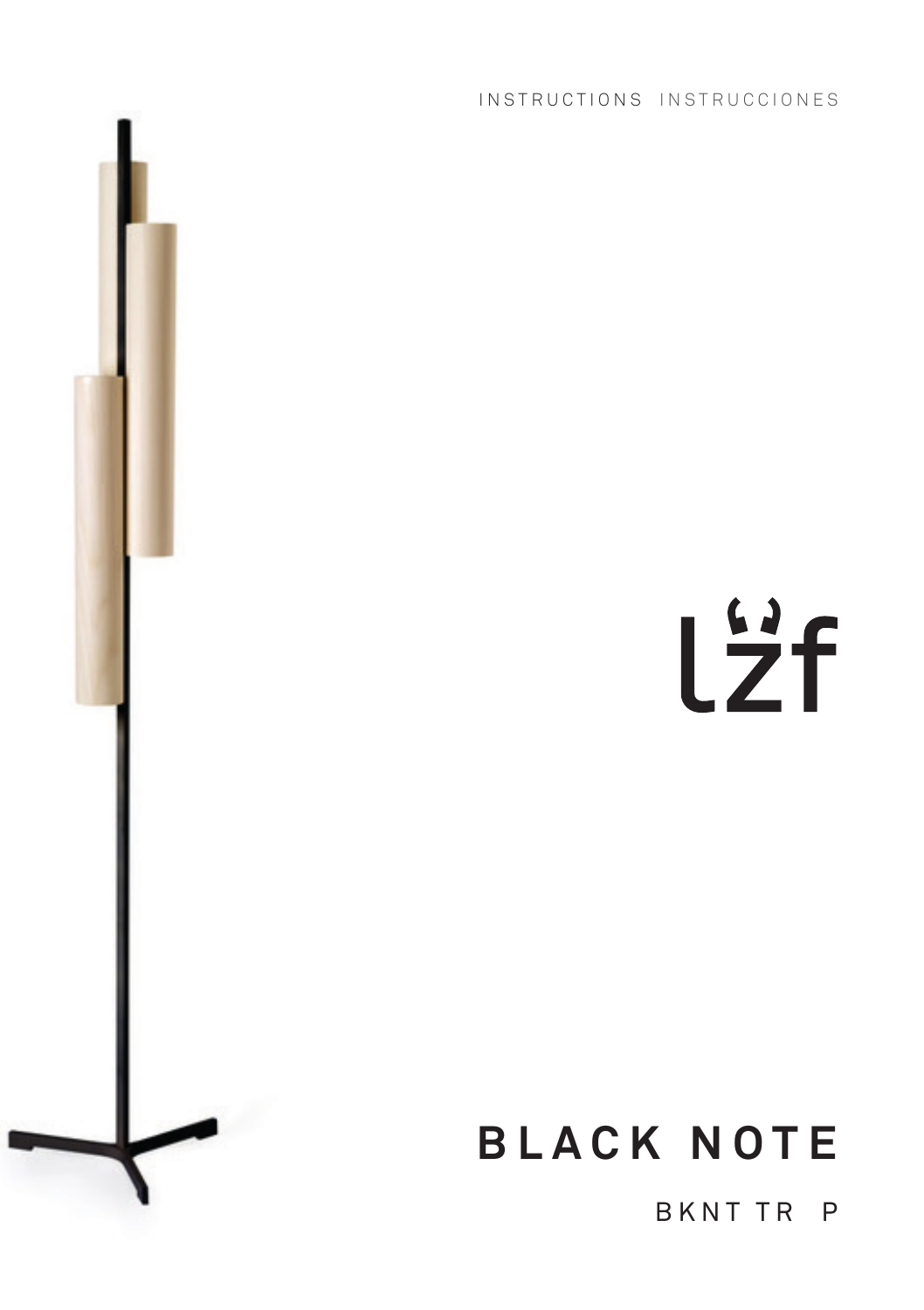INSTRUCTIONS INSTRUCCIONES



# **BLACK NOTE**

BKNT TR P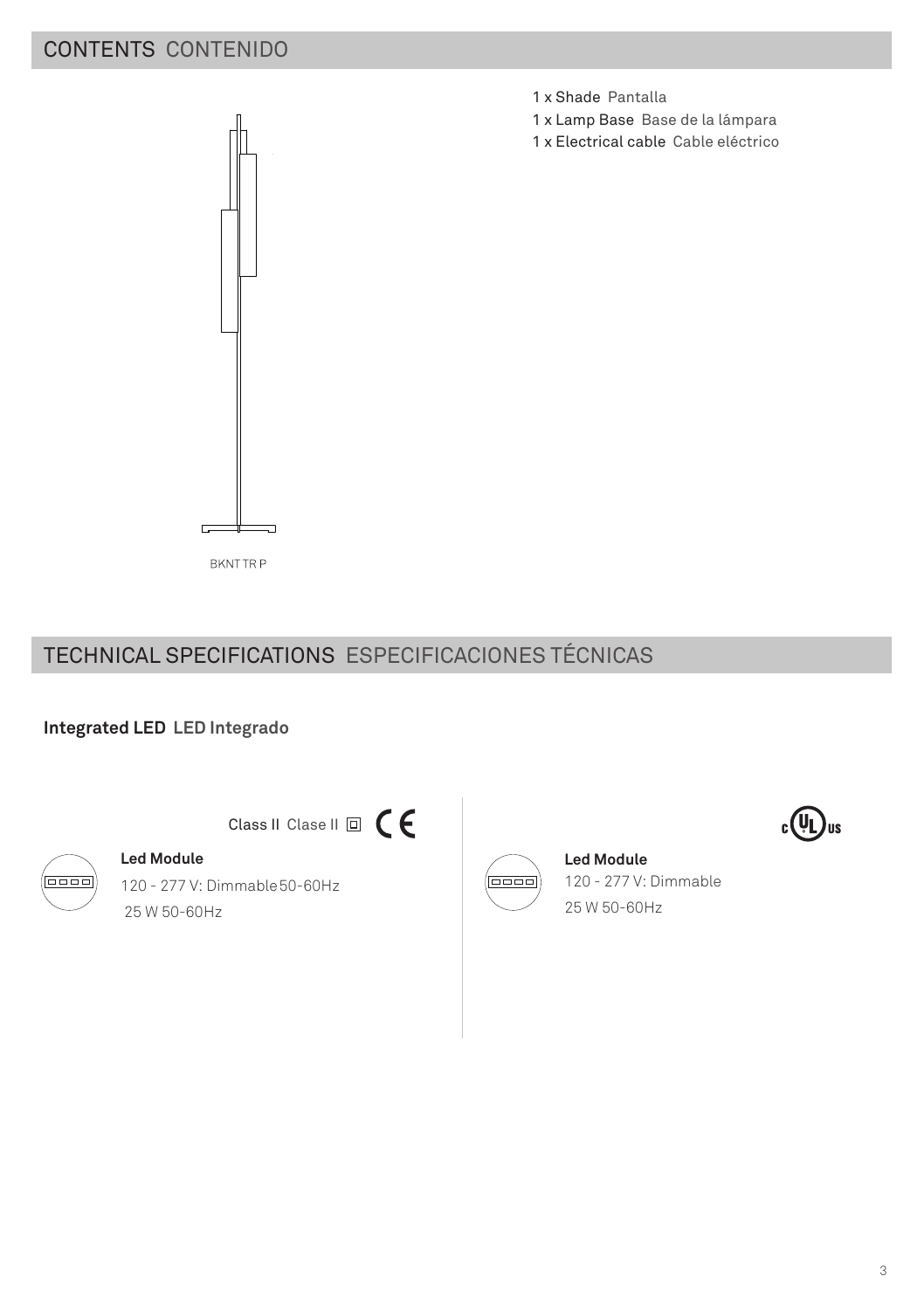# CONTENTS CONTENIDO



1 x Shade Pantalla

- 1 x Lamp Base Base de la lámpara
- 1 x Electrical cable Cable eléctrico

**BKNTTRP** 

# TECHNICAL SPECIFICATIONS ESPECIFICACIONES TÉCNICAS

## **Integrated LED LED Integrado**



# Class II Clase II 回 C E

**Led Module** 120 - 277 V: Dimmable50-60Hz 25 W 50-60Hz



#### **Led Module** 120 - 277 V: Dimmable 25 W 50-60Hz

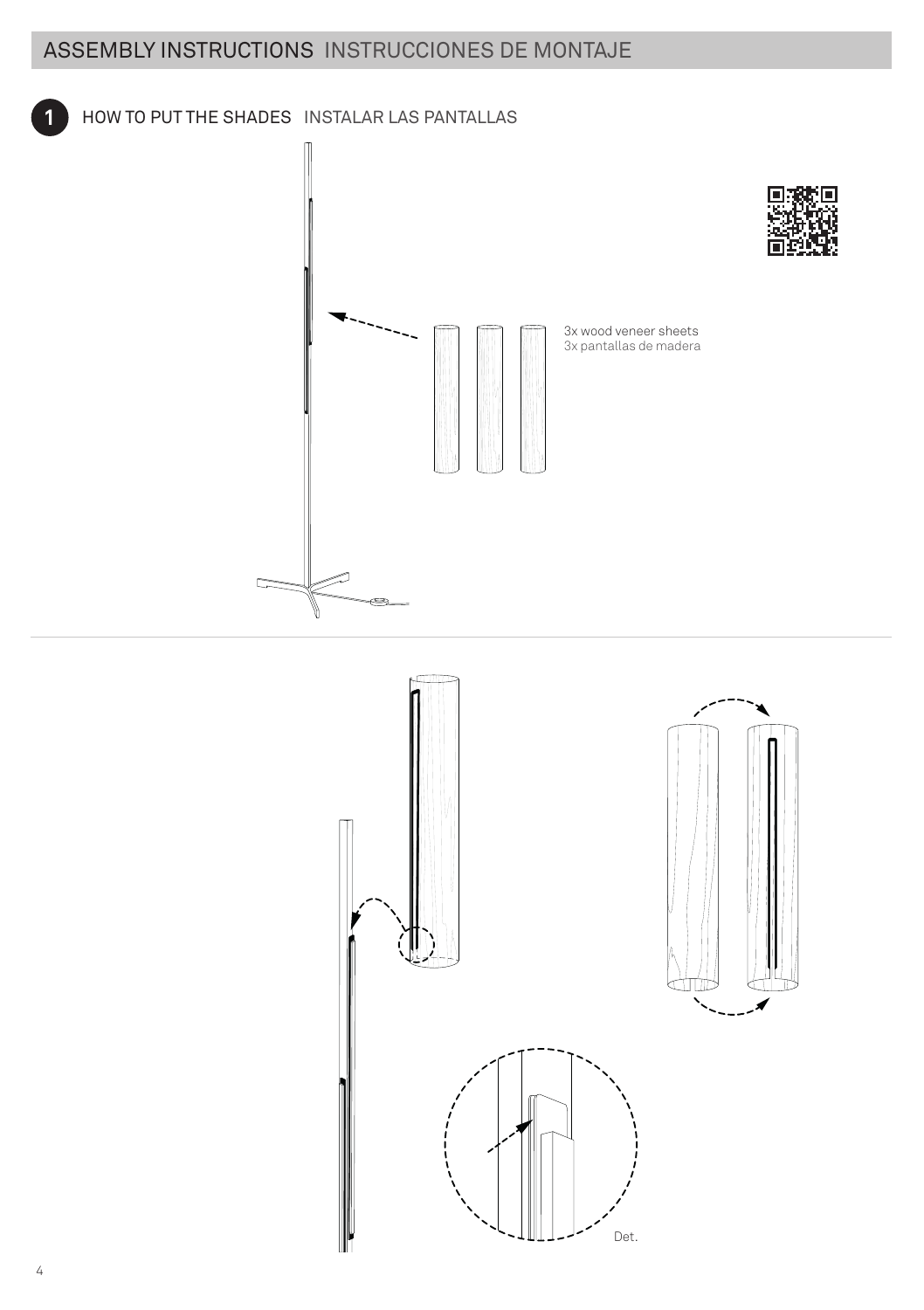# ASSEMBLY INSTRUCTIONS INSTRUCCIONES DE MONTAJE

### **1** HOW TO PUT THE SHADES INSTALAR LAS PANTALLAS



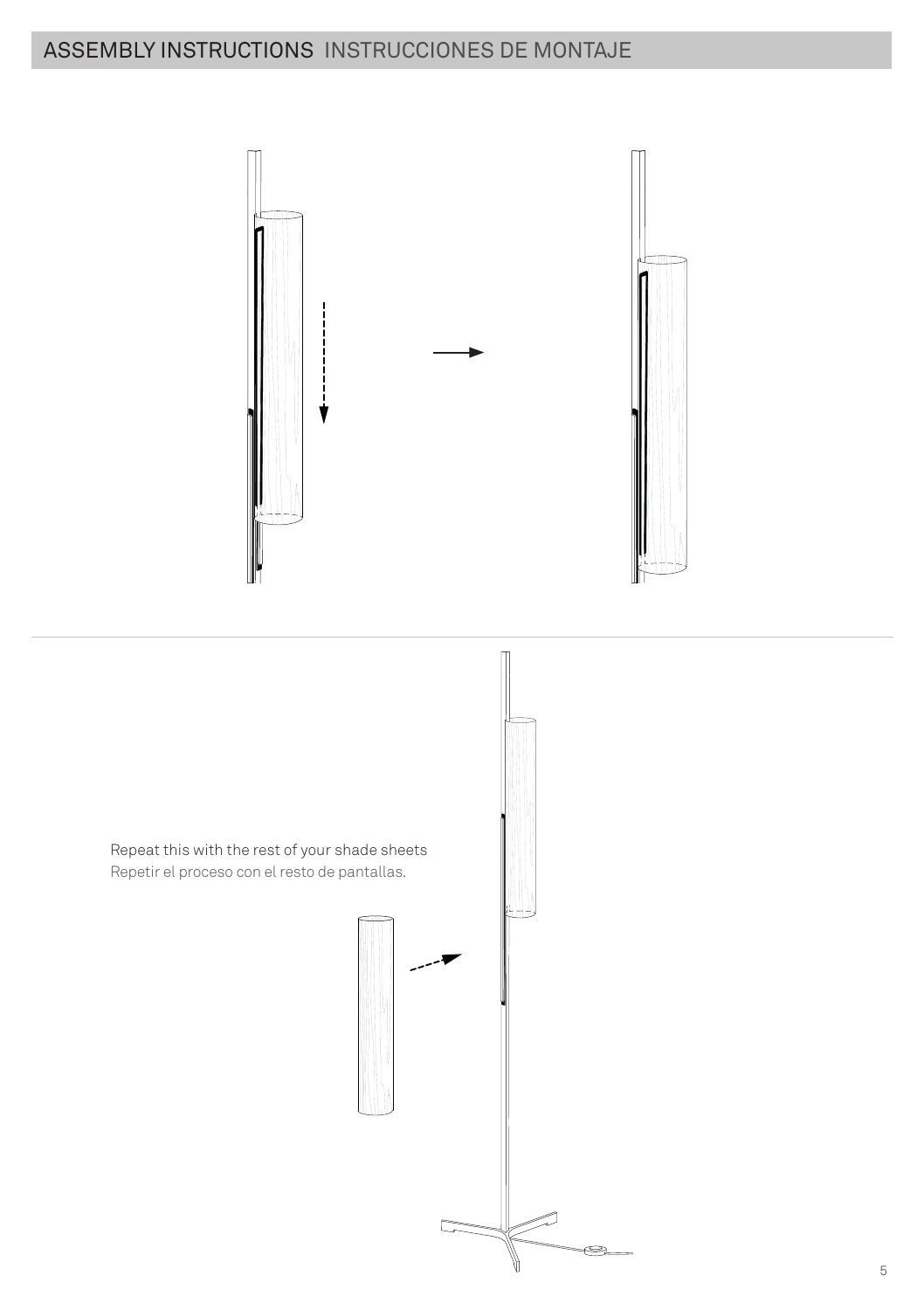# ASSEMBLY INSTRUCTIONS INSTRUCCIONES DE MONTAJE



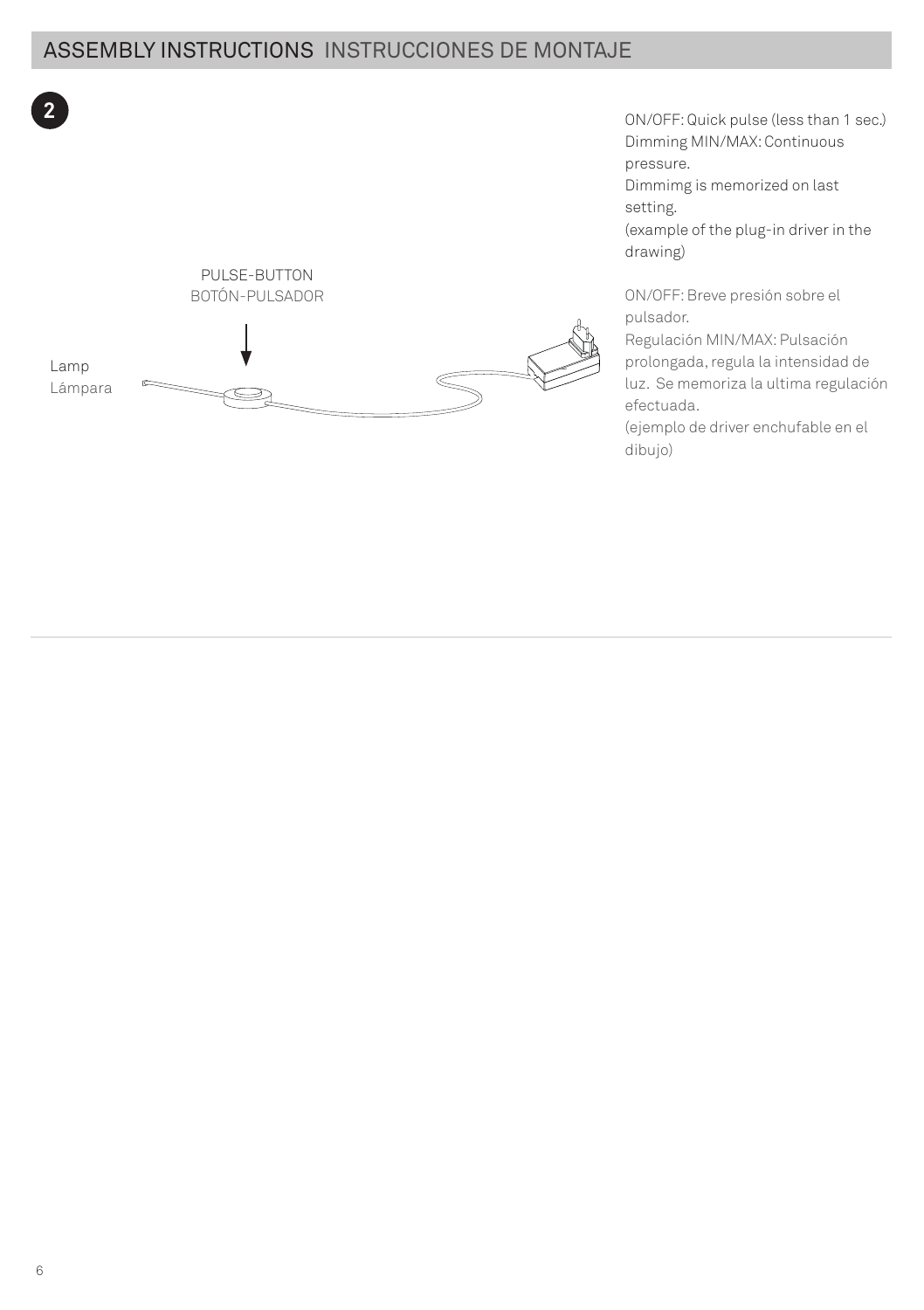# ASSEMBLY INSTRUCTIONS INSTRUCCIONES DE MONTAJE



PULSE-BUTTON BOTÓN-PULSADOR



**2** ON/OFF: Quick pulse (less than 1 sec.) Dimming MIN/MAX: Continuous pressure.

> Dimmimg is memorized on last setting.

(example of the plug-in driver in the drawing)

ON/OFF: Breve presión sobre el pulsador.

Regulación MIN/MAX: Pulsación prolongada, regula la intensidad de luz. Se memoriza la ultima regulación efectuada.

(ejemplo de driver enchufable en el dibujo)